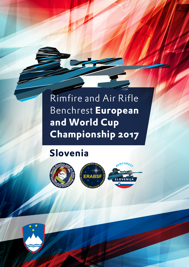# Rimfire and Air Rifle Benchrest **European and World Cup Championship 2017**

# **Slovenia**

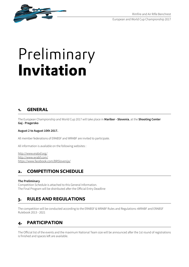European and World Cup Championship 2017



# Preliminary **Invitation**

#### **1. GENERAL**

The European Championship and World Cup 2017 will take place in **Maribor - Slovenia**, at the **Shooting Center Gaj - Pragersko** 

#### **August 2 to August 10th 2017.**

All member federations of ERABSF and WRABF are invited to participate.

All information is available on the following websites :

http://www.erabsf.org/ http://www.wrabf.com/ https://www.facebook.com/BRSlovenija/

#### **2. COMPETITION SCHEDULE**

#### **The Preliminary**

Competition Schedule is attached to this General Information. The Final Program will be distributed after the Official Entry Deadline

#### **3. RULES AND REGULATIONS**

The competition will be conducted according to the ERABSF & WRABF Rules and Regulations »WRABF and ERABSF Rulebook 2013 - 2021

## **4. PARTICIPATION**

The Official list of the events and the maximum National Team size will be announced after the 1st round of registrations is finished and spaces left are available.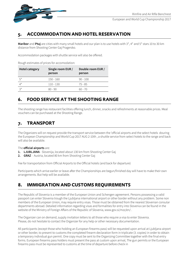

#### **5. ACCOMMODATION AND HOTEL RESERVATION**

**Maribor** and **Ptuj** are cities with many small hotels and our plan is to use hotels with 3\*, 4\* and 5\* stars 10 to 30 km distance from Shooting Center Gaj Pragersko.

Accommodation packages with shuttle service will also be offered.

Rough estimates of prices for accomodation:

| Hotel category  | Single room EUR /<br>person | Double room EUR /<br>person |  |  |  |
|-----------------|-----------------------------|-----------------------------|--|--|--|
| $5^*$           | 150 - 160                   | $90 - 100$                  |  |  |  |
| $4^*$           | $110 - 130$                 | 75 - 85                     |  |  |  |
| $\mathcal{L}^*$ | 80 - 90                     | 60 - 70                     |  |  |  |

## **6. FOOD SERVICE AT THE SHOOTING RANGE**

The shooting range has restaurant facilities offering lunch, dinner, snacks and refreshments at reasonable prices. Meal vouchers can be purchased at the Shooting Range.

#### **7. TRANSPORT**

The Organizers will on request provide the transport service between the 'official airports and the select hotels douring the European Championship and World Cup 2017 AUG 2-10th , a shuttle service from select hotels to the range and back will also be available.

#### The **official airports** are:

- **1. LJUBLJANA** Slovenija, located about 130 km from Shooting Center Gaj
- **2. GRAZ** Austria, located 80 km from Shooting Center Gaj

Fee for transportation from Official Airports to the Official hotels (and back for departure)

Participants which arrive earlier or leave after the Championships are begun/finished day will have to make their own arrangements. But help will be available.

#### **8. IMMIGRATION AND CUSTOMS REQUIREMENTS**

The Republic of Slovenia is a member of the European Union and Schengen agreement. Persons possessing a valid passport can enter Slovenia trough the Ljubljana international airport or other border without any problem. Some non members of the European Union, may require entry visas. Those must be obtained from the nearest Slovenian consular departments abroad. Detailed information regarding visas and formalities for entry into Slovenia can be found in the website of the Ministry of Foreign Affairs of the Republic of Slovenia, www.gov.si/mzz/en/ .

The Organizer can on demand, supply invitation letters to all those who require a visa to enter Slovenia. Please, do not hesitate to contact the Organizer for any help or other necessary documentation.

All participants (except those who holding an European firearms pass) will be requested upon arrival at Ljubljana airport or other border, to present to customs the completed firearm declaration form in triplicate (3. copies) in order to obtain a temporary individual gun permit. One copy must be sent to the Organizing Committee together with the final entry forms. European firearms pass holders must present the pass at custom upon arrival, The gun permits or the European firearms pass must be represented to customs at the time of departure before check in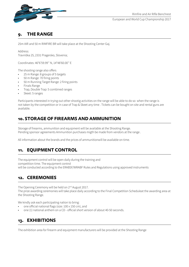

European and World Cup Championship 2017

#### **9. THE RANGE**

25m AIR and 50 m RIMFIRE BR will take place at the Shooting Center Gaj.

Address: Travniška 25, 2331 Pragersko, Slovenia;

Coordinates: 46°6'59.99'' N, 14°48'60.00'' E

The shooting range also offers

- 25 m Range: 8 groups of 5 targets
- 50 m Range: 70 firing points
- 50 m Running Target Range: 2 firing points
- Finals Range
- Trap, Double Trap: 5 combined ranges
- Skeet: 5 ranges

Participants interested in trying out other shootig activities on the range will be able to do so when the range is not taken by the competition or in case of Trap & Skeet any time . Tickets can be bought on site and rental guns are available.

#### **10. STORAGE OF FIREARMS AND AMMUNITION**

Storage of firearms, ammunition and equipment will be available at the Shooting Range. Pending sponsor agreements Ammunition purchases migth be made from vendors at the range .

All information about the brands and the prices of ammunitionwill be available on time.

#### **11. EQUIPMENT CONTROL**

The equipment control will be open daily during the training and competition time. The equipment control will be conducted according to the ERABSF/WRABF Rules and Regulations using approved instruments

#### **12. CEREMONIES**

The Opening Ceremony will be held on 2<sup>nd</sup> August 2017.

The prize awarding ceremonies will take place daily according to the Final Competition Scheduleat the awarding area at the Shooting Range.

We kindly ask each participating nation to bring:

- one official national flags (size: 100 x 150 cm), and
- one (1) national anthem on a CD official short version of about 40-50 seconds.

#### **13. EXHIBITIONS**

The exhibition area for firearm and equipment manufacturers will be provided at the Shooting Range